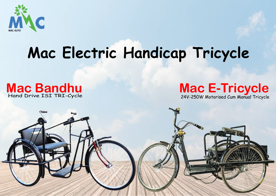

# **Mac Electric Handicap Tricycle**

### **Mac Bandhu** Hand Drive ISI TRI-Cycle



24V-250W Motorised Cum Manual Tricycle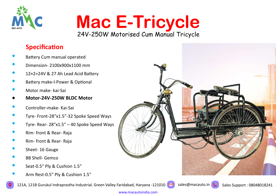

# **Mac E-Tricycle** 24V-250W Motorised Cum Manual Tricycle

### **Specifica�on**

- Battery Cum manual operated
- Dimension- 2100x900x1100 mm
- 12×2=24V & 27 Ah Lead Acid Battery
- Battery make-l-Power & Optional
- Motor make- kai-Sai
- **Motor-24V-250W BLDC Motor**
- Controller-make- Kai-Sai
- Tyre- Front-28ʺx1.5ʺ-32 Spoke Speed Ways
- Tyre- Rear-  $28''x1.5'' 40$  Spoke Speed Ways
- Rim- front & Rear- Raja
- Rim- front & Rear- Raja
- Sheet- <sup>16</sup> Gauge
- BB Shell- Gemco
- Seat-0.5" Ply & Cushion 1.5"
- Arm Rest-0.5" Ply & Cushion 1.5"



121A, 121B Gurukul Indraprastha Industrial. Green Valley Faridabad, Haryana -121010 M sales@macauto.in Sales Support : 08048018241

www.macautoindia.com